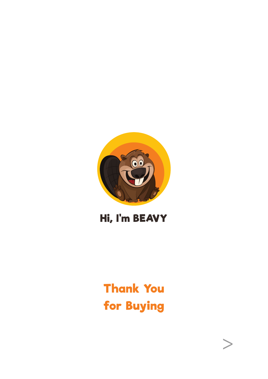

## **Hi, I'm BEAVY**

# **Thank You for Buying**

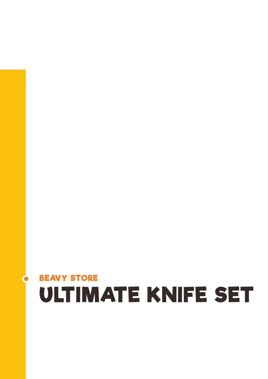# **BEAVY STORE ULTIMATE KNIFE SET**

O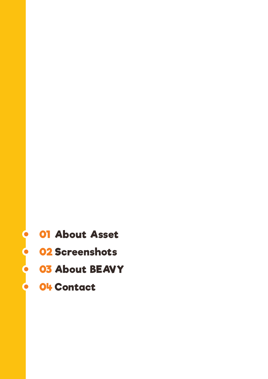# **P-0-0-0**

**About Asset**

- **Screenshots**
- **About BEAVY**
- **Contact**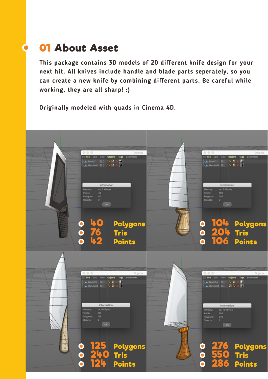### **About Asset**

**This package contains 3D models of 20 different knife design for your next hit. All knives include handle and blade parts seperately, so you can create a new knife by combining different parts. Be careful while working, they are all sharp! :)** 

**Originally modeled with quads in Cinema 4D.**

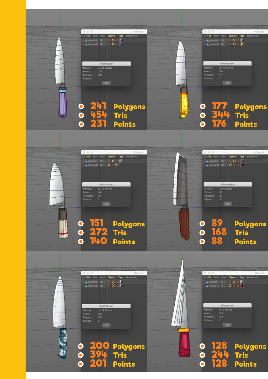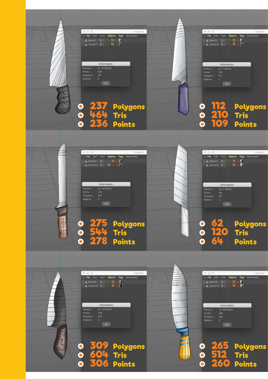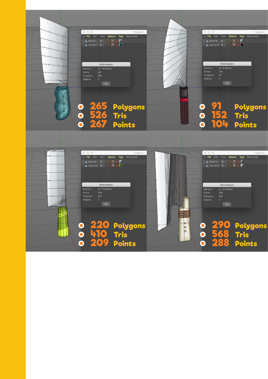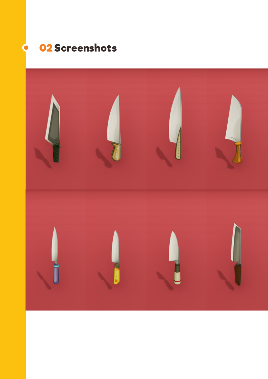

O

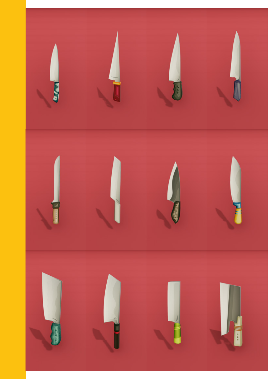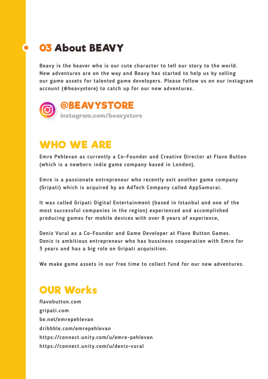### **03 About BEAVY**

**Beavy is the beaver who is our cute character to tell our story to the world. New adventures are on the way and Beavy has started to help us by selling our game assets for talented game developers. Please follow us on our instagram account (@beavystore) to catch up for our new adventures.** 



### **WHO WE ARE**

**Emre Pehlevan as currently a Co-Founder and Creative Director at Flavo Button (which is a newborn indie game company based in London).** 

**Emre is a passionate entrepreneur who recently exit another game company (Gripati) which is acquired by an AdTech Company called AppSamurai.** 

**It was called Gripati Digital Entertainment (based in Istanbul and one of the most successful companies in the region) experienced and accomplished producing games for mobile devices with over 8 years of experience,**

**Deniz Vural as a Co-Founder and Game Developer at Flavo Button Games. Deniz is ambitious entrepreneur who has bussiness cooperation with Emre for 3 years and has a big role on Gripati acquisition.** 

**We make game assets in our free time to collect fund for our new adventures.** 

### **OUR Works**

**gripati.com flavobutton.com be.net/emrepehlevan dribbble.com/emrepehlevan https://connect.unity.com/u/emre-pehlevan https://connect.unity.com/u/deniz-vural**